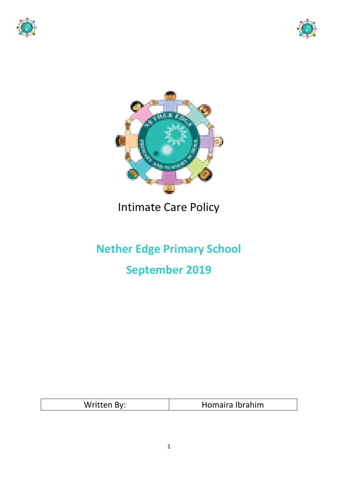





## Intimate Care Policy

# **Nether Edge Primary School September 2019**

| Written By: | Homaira Ibrahim |
|-------------|-----------------|
|             |                 |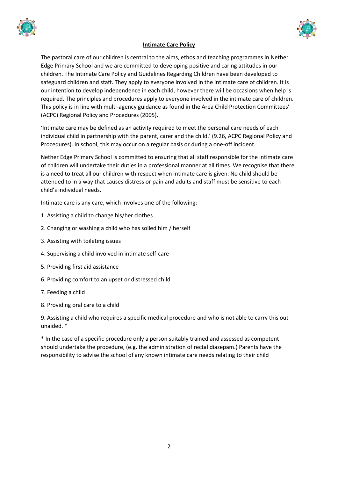



#### **Intimate Care Policy**

The pastoral care of our children is central to the aims, ethos and teaching programmes in Nether Edge Primary School and we are committed to developing positive and caring attitudes in our children. The Intimate Care Policy and Guidelines Regarding Children have been developed to safeguard children and staff. They apply to everyone involved in the intimate care of children. It is our intention to develop independence in each child, however there will be occasions when help is required. The principles and procedures apply to everyone involved in the intimate care of children. This policy is in line with multi-agency guidance as found in the Area Child Protection Committees' (ACPC) Regional Policy and Procedures (2005).

'Intimate care may be defined as an activity required to meet the personal care needs of each individual child in partnership with the parent, carer and the child.' (9.26, ACPC Regional Policy and Procedures). In school, this may occur on a regular basis or during a one-off incident.

Nether Edge Primary School is committed to ensuring that all staff responsible for the intimate care of children will undertake their duties in a professional manner at all times. We recognise that there is a need to treat all our children with respect when intimate care is given. No child should be attended to in a way that causes distress or pain and adults and staff must be sensitive to each child's individual needs.

Intimate care is any care, which involves one of the following:

- 1. Assisting a child to change his/her clothes
- 2. Changing or washing a child who has soiled him / herself
- 3. Assisting with toileting issues
- 4. Supervising a child involved in intimate self-care
- 5. Providing first aid assistance
- 6. Providing comfort to an upset or distressed child
- 7. Feeding a child
- 8. Providing oral care to a child

9. Assisting a child who requires a specific medical procedure and who is not able to carry this out unaided. \*

\* In the case of a specific procedure only a person suitably trained and assessed as competent should undertake the procedure, (e.g. the administration of rectal diazepam.) Parents have the responsibility to advise the school of any known intimate care needs relating to their child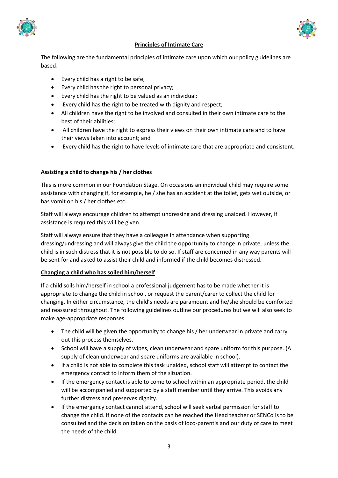



#### **Principles of Intimate Care**

The following are the fundamental principles of intimate care upon which our policy guidelines are based:

- Every child has a right to be safe;
- Every child has the right to personal privacy;
- Every child has the right to be valued as an individual;
- Every child has the right to be treated with dignity and respect;
- All children have the right to be involved and consulted in their own intimate care to the best of their abilities;
- All children have the right to express their views on their own intimate care and to have their views taken into account; and
- Every child has the right to have levels of intimate care that are appropriate and consistent.

#### **Assisting a child to change his / her clothes**

This is more common in our Foundation Stage. On occasions an individual child may require some assistance with changing if, for example, he / she has an accident at the toilet, gets wet outside, or has vomit on his / her clothes etc.

Staff will always encourage children to attempt undressing and dressing unaided. However, if assistance is required this will be given.

Staff will always ensure that they have a colleague in attendance when supporting dressing/undressing and will always give the child the opportunity to change in private, unless the child is in such distress that it is not possible to do so. If staff are concerned in any way parents will be sent for and asked to assist their child and informed if the child becomes distressed.

#### **Changing a child who has soiled him/herself**

If a child soils him/herself in school a professional judgement has to be made whether it is appropriate to change the child in school, or request the parent/carer to collect the child for changing. In either circumstance, the child's needs are paramount and he/she should be comforted and reassured throughout. The following guidelines outline our procedures but we will also seek to make age-appropriate responses.

- The child will be given the opportunity to change his / her underwear in private and carry out this process themselves.
- School will have a supply of wipes, clean underwear and spare uniform for this purpose. (A supply of clean underwear and spare uniforms are available in school).
- If a child is not able to complete this task unaided, school staff will attempt to contact the emergency contact to inform them of the situation.
- If the emergency contact is able to come to school within an appropriate period, the child will be accompanied and supported by a staff member until they arrive. This avoids any further distress and preserves dignity.
- If the emergency contact cannot attend, school will seek verbal permission for staff to change the child. If none of the contacts can be reached the Head teacher or SENCo is to be consulted and the decision taken on the basis of loco-parentis and our duty of care to meet the needs of the child.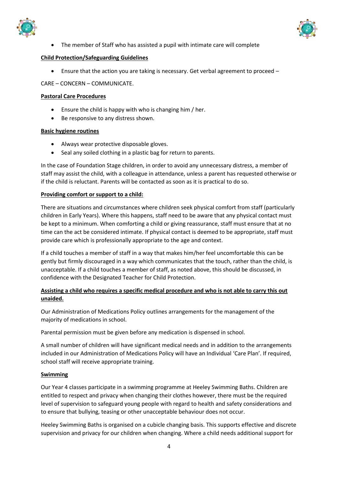



The member of Staff who has assisted a pupil with intimate care will complete

#### **Child Protection/Safeguarding Guidelines**

Ensure that the action you are taking is necessary. Get verbal agreement to proceed –

CARE – CONCERN – COMMUNICATE.

#### **Pastoral Care Procedures**

- Ensure the child is happy with who is changing him / her.
- Be responsive to any distress shown.

#### **Basic hygiene routines**

- Always wear protective disposable gloves.
- Seal any soiled clothing in a plastic bag for return to parents.

In the case of Foundation Stage children, in order to avoid any unnecessary distress, a member of staff may assist the child, with a colleague in attendance, unless a parent has requested otherwise or if the child is reluctant. Parents will be contacted as soon as it is practical to do so.

#### **Providing comfort or support to a child:**

There are situations and circumstances where children seek physical comfort from staff (particularly children in Early Years). Where this happens, staff need to be aware that any physical contact must be kept to a minimum. When comforting a child or giving reassurance, staff must ensure that at no time can the act be considered intimate. If physical contact is deemed to be appropriate, staff must provide care which is professionally appropriate to the age and context.

If a child touches a member of staff in a way that makes him/her feel uncomfortable this can be gently but firmly discouraged in a way which communicates that the touch, rather than the child, is unacceptable. If a child touches a member of staff, as noted above, this should be discussed, in confidence with the Designated Teacher for Child Protection.

#### **Assisting a child who requires a specific medical procedure and who is not able to carry this out unaided.**

Our Administration of Medications Policy outlines arrangements for the management of the majority of medications in school.

Parental permission must be given before any medication is dispensed in school.

A small number of children will have significant medical needs and in addition to the arrangements included in our Administration of Medications Policy will have an Individual 'Care Plan'. If required, school staff will receive appropriate training.

#### **Swimming**

Our Year 4 classes participate in a swimming programme at Heeley Swimming Baths. Children are entitled to respect and privacy when changing their clothes however, there must be the required level of supervision to safeguard young people with regard to health and safety considerations and to ensure that bullying, teasing or other unacceptable behaviour does not occur.

Heeley Swimming Baths is organised on a cubicle changing basis. This supports effective and discrete supervision and privacy for our children when changing. Where a child needs additional support for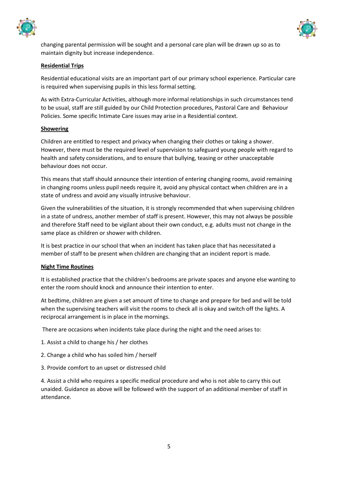



changing parental permission will be sought and a personal care plan will be drawn up so as to maintain dignity but increase independence.

#### **Residential Trips**

Residential educational visits are an important part of our primary school experience. Particular care is required when supervising pupils in this less formal setting.

As with Extra-Curricular Activities, although more informal relationships in such circumstances tend to be usual, staff are still guided by our Child Protection procedures, Pastoral Care and Behaviour Policies. Some specific Intimate Care issues may arise in a Residential context.

#### **Showering**

Children are entitled to respect and privacy when changing their clothes or taking a shower. However, there must be the required level of supervision to safeguard young people with regard to health and safety considerations, and to ensure that bullying, teasing or other unacceptable behaviour does not occur.

This means that staff should announce their intention of entering changing rooms, avoid remaining in changing rooms unless pupil needs require it, avoid any physical contact when children are in a state of undress and avoid any visually intrusive behaviour.

Given the vulnerabilities of the situation, it is strongly recommended that when supervising children in a state of undress, another member of staff is present. However, this may not always be possible and therefore Staff need to be vigilant about their own conduct, e.g. adults must not change in the same place as children or shower with children.

It is best practice in our school that when an incident has taken place that has necessitated a member of staff to be present when children are changing that an incident report is made.

#### **Night Time Routines**

It is established practice that the children's bedrooms are private spaces and anyone else wanting to enter the room should knock and announce their intention to enter.

At bedtime, children are given a set amount of time to change and prepare for bed and will be told when the supervising teachers will visit the rooms to check all is okay and switch off the lights. A reciprocal arrangement is in place in the mornings.

There are occasions when incidents take place during the night and the need arises to:

- 1. Assist a child to change his / her clothes
- 2. Change a child who has soiled him / herself
- 3. Provide comfort to an upset or distressed child

4. Assist a child who requires a specific medical procedure and who is not able to carry this out unaided. Guidance as above will be followed with the support of an additional member of staff in attendance.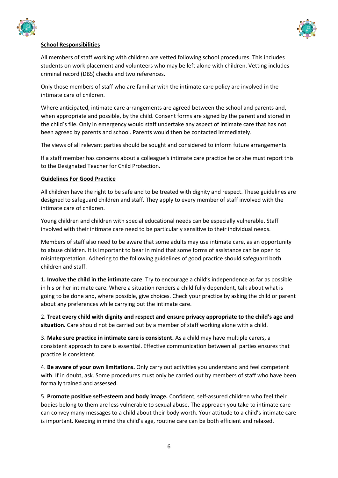



#### **School Responsibilities**

All members of staff working with children are vetted following school procedures. This includes students on work placement and volunteers who may be left alone with children. Vetting includes criminal record (DBS) checks and two references.

Only those members of staff who are familiar with the intimate care policy are involved in the intimate care of children.

Where anticipated, intimate care arrangements are agreed between the school and parents and, when appropriate and possible, by the child. Consent forms are signed by the parent and stored in the child's file. Only in emergency would staff undertake any aspect of intimate care that has not been agreed by parents and school. Parents would then be contacted immediately.

The views of all relevant parties should be sought and considered to inform future arrangements.

If a staff member has concerns about a colleague's intimate care practice he or she must report this to the Designated Teacher for Child Protection.

#### **Guidelines For Good Practice**

All children have the right to be safe and to be treated with dignity and respect. These guidelines are designed to safeguard children and staff. They apply to every member of staff involved with the intimate care of children.

Young children and children with special educational needs can be especially vulnerable. Staff involved with their intimate care need to be particularly sensitive to their individual needs.

Members of staff also need to be aware that some adults may use intimate care, as an opportunity to abuse children. It is important to bear in mind that some forms of assistance can be open to misinterpretation. Adhering to the following guidelines of good practice should safeguard both children and staff.

1**. Involve the child in the intimate care**. Try to encourage a child's independence as far as possible in his or her intimate care. Where a situation renders a child fully dependent, talk about what is going to be done and, where possible, give choices. Check your practice by asking the child or parent about any preferences while carrying out the intimate care.

2. **Treat every child with dignity and respect and ensure privacy appropriate to the child's age and situation.** Care should not be carried out by a member of staff working alone with a child.

3. **Make sure practice in intimate care is consistent.** As a child may have multiple carers, a consistent approach to care is essential. Effective communication between all parties ensures that practice is consistent.

4. **Be aware of your own limitations.** Only carry out activities you understand and feel competent with. If in doubt, ask. Some procedures must only be carried out by members of staff who have been formally trained and assessed.

5. **Promote positive self-esteem and body image.** Confident, self-assured children who feel their bodies belong to them are less vulnerable to sexual abuse. The approach you take to intimate care can convey many messages to a child about their body worth. Your attitude to a child's intimate care is important. Keeping in mind the child's age, routine care can be both efficient and relaxed.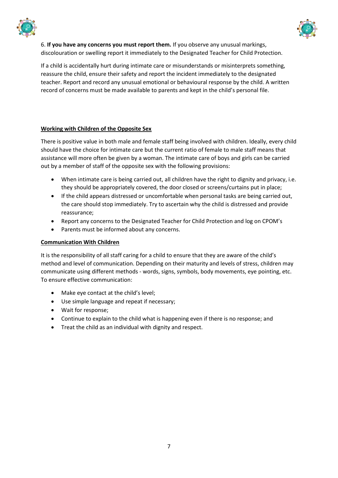



6. **If you have any concerns you must report them.** If you observe any unusual markings, discolouration or swelling report it immediately to the Designated Teacher for Child Protection.

If a child is accidentally hurt during intimate care or misunderstands or misinterprets something, reassure the child, ensure their safety and report the incident immediately to the designated teacher. Report and record any unusual emotional or behavioural response by the child. A written record of concerns must be made available to parents and kept in the child's personal file.

#### **Working with Children of the Opposite Sex**

There is positive value in both male and female staff being involved with children. Ideally, every child should have the choice for intimate care but the current ratio of female to male staff means that assistance will more often be given by a woman. The intimate care of boys and girls can be carried out by a member of staff of the opposite sex with the following provisions:

- When intimate care is being carried out, all children have the right to dignity and privacy, i.e. they should be appropriately covered, the door closed or screens/curtains put in place;
- If the child appears distressed or uncomfortable when personal tasks are being carried out, the care should stop immediately. Try to ascertain why the child is distressed and provide reassurance;
- Report any concerns to the Designated Teacher for Child Protection and log on CPOM's
- Parents must be informed about any concerns.

#### **Communication With Children**

It is the responsibility of all staff caring for a child to ensure that they are aware of the child's method and level of communication. Depending on their maturity and levels of stress, children may communicate using different methods - words, signs, symbols, body movements, eye pointing, etc. To ensure effective communication:

- Make eye contact at the child's level;
- Use simple language and repeat if necessary;
- Wait for response;
- Continue to explain to the child what is happening even if there is no response; and
- Treat the child as an individual with dignity and respect.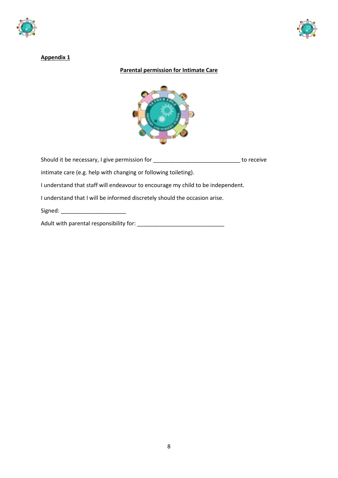



#### **Appendix 1**

#### **Parental permission for Intimate Care**



Should it be necessary, I give permission for \_\_\_\_\_\_\_\_\_\_\_\_\_\_\_\_\_\_\_\_\_\_\_\_\_\_\_\_ to receive intimate care (e.g. help with changing or following toileting).

I understand that staff will endeavour to encourage my child to be independent.

I understand that I will be informed discretely should the occasion arise.

Signed: \_\_\_\_\_\_\_\_\_\_\_\_\_\_\_\_\_\_\_\_\_

Adult with parental responsibility for: \_\_\_\_\_\_\_\_\_\_\_\_\_\_\_\_\_\_\_\_\_\_\_\_\_\_\_\_